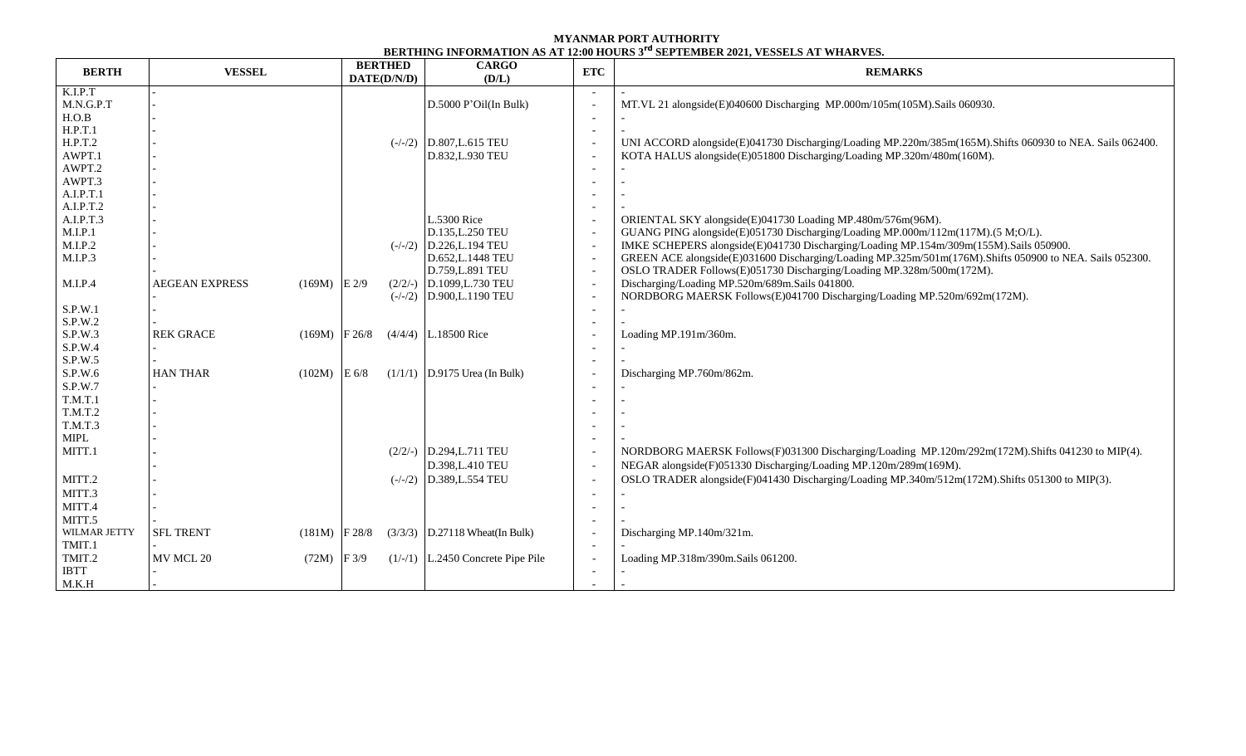## **MYANMAR PORT AUTHORITY BERTHING INFORMATION AS AT 12:00 HOURS 3 rd SEPTEMBER 2021, VESSELS AT WHARVES.**

| K.I.P.T<br>M.N.G.P.T<br>D.5000 P'Oil(In Bulk)<br>MT.VL 21 alongside(E)040600 Discharging MP.000m/105m(105M).Sails 060930.<br>H.O.B<br>H.P.T.1<br>H.P.T.2<br>$(-/-/2)$ D.807, L.615 TEU<br>UNI ACCORD alongside(E)041730 Discharging/Loading MP.220m/385m(165M).Shifts 060930 to NEA. Sails 062400. |  |
|----------------------------------------------------------------------------------------------------------------------------------------------------------------------------------------------------------------------------------------------------------------------------------------------------|--|
|                                                                                                                                                                                                                                                                                                    |  |
|                                                                                                                                                                                                                                                                                                    |  |
|                                                                                                                                                                                                                                                                                                    |  |
|                                                                                                                                                                                                                                                                                                    |  |
|                                                                                                                                                                                                                                                                                                    |  |
| AWPT.1<br>D.832, L.930 TEU<br>KOTA HALUS alongside(E)051800 Discharging/Loading MP.320m/480m(160M).                                                                                                                                                                                                |  |
| AWPT.2                                                                                                                                                                                                                                                                                             |  |
| AWPT.3                                                                                                                                                                                                                                                                                             |  |
| A.I.P.T.1                                                                                                                                                                                                                                                                                          |  |
| A.I.P.T.2                                                                                                                                                                                                                                                                                          |  |
| A.I.P.T.3<br>L.5300 Rice<br>ORIENTAL SKY alongside(E)041730 Loading MP.480m/576m(96M).                                                                                                                                                                                                             |  |
| M.I.P.1<br>GUANG PING alongside(E)051730 Discharging/Loading MP.000m/112m(117M).(5 M;O/L).<br>D.135, L.250 TEU<br>$\overline{\phantom{a}}$<br>M.I.P.2<br>$(-/-/2)$ D.226, L.194 TEU                                                                                                                |  |
| IMKE SCHEPERS alongside(E)041730 Discharging/Loading MP.154m/309m(155M).Sails 050900.<br>$\overline{\phantom{a}}$<br>M.I.P.3<br>GREEN ACE alongside(E)031600 Discharging/Loading MP.325m/501m(176M).Shifts 050900 to NEA. Sails 052300.                                                            |  |
| D.652, L.1448 TEU<br>$\overline{\phantom{a}}$<br>OSLO TRADER Follows(E)051730 Discharging/Loading MP.328m/500m(172M).<br>D.759, L.891 TEU<br>$\overline{\phantom{a}}$                                                                                                                              |  |
| Discharging/Loading MP.520m/689m.Sails 041800.<br>M.I.P.4<br><b>AEGEAN EXPRESS</b><br>$(169M)$ E 2/9<br>$(2/2/-)$ D.1099, L.730 TEU<br>$\overline{\phantom{a}}$                                                                                                                                    |  |
| NORDBORG MAERSK Follows(E)041700 Discharging/Loading MP.520m/692m(172M).<br>$(-/-/2)$ D.900, L.1190 TEU<br>$\overline{\phantom{a}}$                                                                                                                                                                |  |
| S.P.W.1                                                                                                                                                                                                                                                                                            |  |
| S.P.W.2                                                                                                                                                                                                                                                                                            |  |
| S.P.W.3<br><b>REK GRACE</b><br>$(169M)$ F 26/8<br>$(4/4/4)$ L.18500 Rice<br>Loading MP.191m/360m.                                                                                                                                                                                                  |  |
| S.P.W.4                                                                                                                                                                                                                                                                                            |  |
| S.P.W.5<br>$\overline{\phantom{a}}$                                                                                                                                                                                                                                                                |  |
| S.P.W.6<br><b>HAN THAR</b><br>$(1/1/1)$ D.9175 Urea (In Bulk)<br>$(102M)$ E 6/8<br>Discharging MP.760m/862m.                                                                                                                                                                                       |  |
| S.P.W.7                                                                                                                                                                                                                                                                                            |  |
| T.M.T.1                                                                                                                                                                                                                                                                                            |  |
| T.M.T.2                                                                                                                                                                                                                                                                                            |  |
| <b>T.M.T.3</b>                                                                                                                                                                                                                                                                                     |  |
| MIPL                                                                                                                                                                                                                                                                                               |  |
| MITT.1<br>$(2/2/-)$ D.294, L.711 TEU<br>NORDBORG MAERSK Follows(F)031300 Discharging/Loading MP.120m/292m(172M).Shifts 041230 to MIP(4).                                                                                                                                                           |  |
| D.398, L.410 TEU<br>NEGAR alongside(F)051330 Discharging/Loading MP.120m/289m(169M).                                                                                                                                                                                                               |  |
| OSLO TRADER alongside(F)041430 Discharging/Loading MP.340m/512m(172M).Shifts 051300 to MIP(3).<br>MITT.2<br>$(-/-/2)$ D.389, L.554 TEU                                                                                                                                                             |  |
| MITT.3                                                                                                                                                                                                                                                                                             |  |
| MITT.4                                                                                                                                                                                                                                                                                             |  |
| MITT.5                                                                                                                                                                                                                                                                                             |  |
| WILMAR JETTY<br><b>SFL TRENT</b><br>$(3/3/3)$ D.27118 Wheat(In Bulk)<br>Discharging MP.140m/321m.<br>$(181M)$ F 28/8                                                                                                                                                                               |  |
| TMIT.1<br>$\overline{a}$                                                                                                                                                                                                                                                                           |  |
| TMIT.2<br>MV MCL 20<br>$(72M)$ F 3/9<br>$(1/-/1)$ L.2450 Concrete Pipe Pile<br>Loading MP.318m/390m.Sails 061200.                                                                                                                                                                                  |  |
| <b>IBTT</b>                                                                                                                                                                                                                                                                                        |  |
| M.K.H                                                                                                                                                                                                                                                                                              |  |